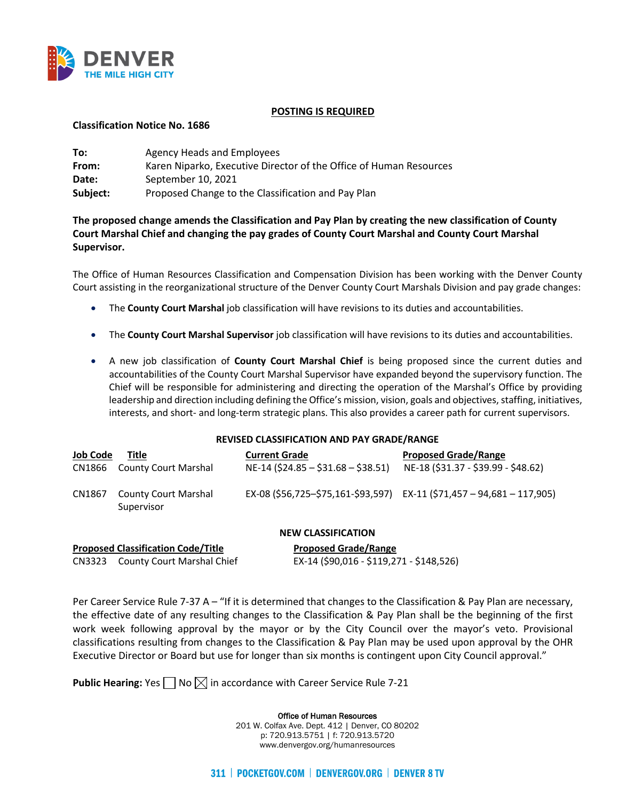

## **POSTING IS REQUIRED**

### **Classification Notice No. 1686**

| To:      | Agency Heads and Employees                                         |  |  |
|----------|--------------------------------------------------------------------|--|--|
| From:    | Karen Niparko, Executive Director of the Office of Human Resources |  |  |
| Date:    | September 10, 2021                                                 |  |  |
| Subject: | Proposed Change to the Classification and Pay Plan                 |  |  |

**The proposed change amends the Classification and Pay Plan by creating the new classification of County Court Marshal Chief and changing the pay grades of County Court Marshal and County Court Marshal Supervisor.** 

The Office of Human Resources Classification and Compensation Division has been working with the Denver County Court assisting in the reorganizational structure of the Denver County Court Marshals Division and pay grade changes:

- The **County Court Marshal** job classification will have revisions to its duties and accountabilities.
- The **County Court Marshal Supervisor** job classification will have revisions to its duties and accountabilities.
- A new job classification of **County Court Marshal Chief** is being proposed since the current duties and accountabilities of the County Court Marshal Supervisor have expanded beyond the supervisory function. The Chief will be responsible for administering and directing the operation of the Marshal's Office by providing leadership and direction including defining the Office's mission, vision, goals and objectives, staffing, initiatives, interests, and short- and long-term strategic plans. This also provides a career path for current supervisors.

#### **REVISED CLASSIFICATION AND PAY GRADE/RANGE**

| <b>Job Code</b> | Title                                     | <b>Current Grade</b>                  | <b>Proposed Grade/Range</b>                                            |
|-----------------|-------------------------------------------|---------------------------------------|------------------------------------------------------------------------|
|                 | CN1866 County Court Marshal               | $NE-14$ (\$24.85 - \$31.68 - \$38.51) | NE-18 (\$31.37 - \$39.99 - \$48.62)                                    |
| CN1867          | <b>County Court Marshal</b><br>Supervisor |                                       | EX-08 (\$56,725-\$75,161-\$93,597) EX-11 (\$71,457 - 94,681 - 117,905) |

# **NEW CLASSIFICATION**

# **Proposed Classification Code/Title Proposed Grade/Range**

CN3323 County Court Marshal Chief EX-14 (\$90,016 - \$119,271 - \$148,526)

Per Career Service Rule 7-37 A – "If it is determined that changes to the Classification & Pay Plan are necessary, the effective date of any resulting changes to the Classification & Pay Plan shall be the beginning of the first work week following approval by the mayor or by the City Council over the mayor's veto. Provisional classifications resulting from changes to the Classification & Pay Plan may be used upon approval by the OHR Executive Director or Board but use for longer than six months is contingent upon City Council approval."

**Public Hearing:** Yes  $\Box$  No  $\boxtimes$  in accordance with Career Service Rule 7-21

Office of Human Resources 201 W. Colfax Ave. Dept. 412 | Denver, CO 80202 p: 720.913.5751 | f: 720.913.5720 www.denvergov.org/humanresources